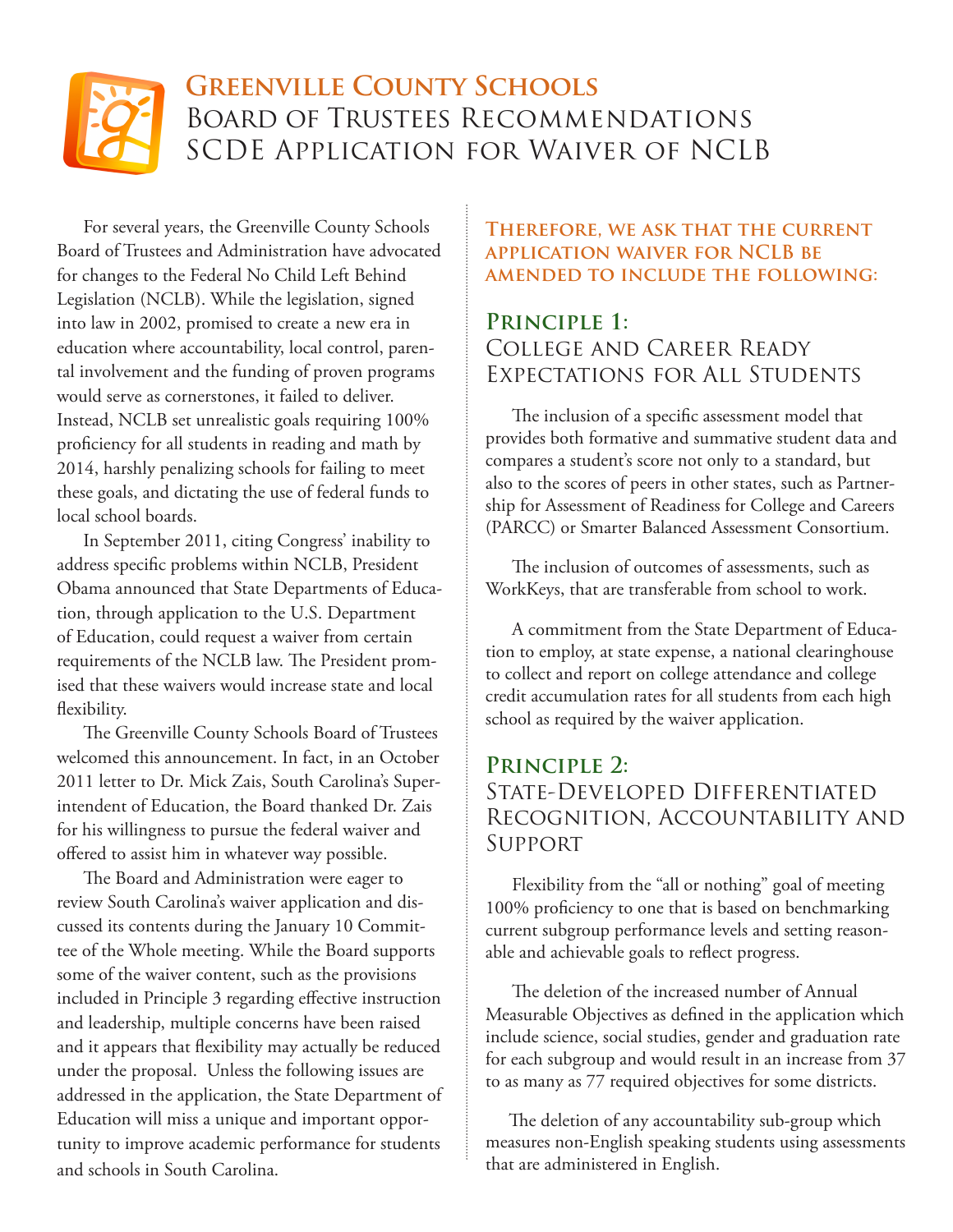# **Greenville County Schools**  Board of Trustees Recommendations SCDE Application for Waiver of NCLB

For several years, the Greenville County Schools Board of Trustees and Administration have advocated for changes to the Federal No Child Left Behind Legislation (NCLB). While the legislation, signed into law in 2002, promised to create a new era in education where accountability, local control, parental involvement and the funding of proven programs would serve as cornerstones, it failed to deliver. Instead, NCLB set unrealistic goals requiring 100% proficiency for all students in reading and math by 2014, harshly penalizing schools for failing to meet these goals, and dictating the use of federal funds to local school boards.

In September 2011, citing Congress' inability to address specific problems within NCLB, President Obama announced that State Departments of Education, through application to the U.S. Department of Education, could request a waiver from certain requirements of the NCLB law. The President promised that these waivers would increase state and local flexibility.

The Greenville County Schools Board of Trustees welcomed this announcement. In fact, in an October 2011 letter to Dr. Mick Zais, South Carolina's Superintendent of Education, the Board thanked Dr. Zais for his willingness to pursue the federal waiver and offered to assist him in whatever way possible.

The Board and Administration were eager to review South Carolina's waiver application and discussed its contents during the January 10 Committee of the Whole meeting. While the Board supports some of the waiver content, such as the provisions included in Principle 3 regarding effective instruction and leadership, multiple concerns have been raised and it appears that flexibility may actually be reduced under the proposal. Unless the following issues are addressed in the application, the State Department of Education will miss a unique and important opportunity to improve academic performance for students and schools in South Carolina.

#### **Therefore, we ask that the current application waiver for NCLB be amended to include the following:**

#### **Principle 1:**  College and Career Ready Expectations for All Students

The inclusion of a specific assessment model that provides both formative and summative student data and compares a student's score not only to a standard, but also to the scores of peers in other states, such as Partnership for Assessment of Readiness for College and Careers (PARCC) or Smarter Balanced Assessment Consortium.

The inclusion of outcomes of assessments, such as WorkKeys, that are transferable from school to work.

A commitment from the State Department of Education to employ, at state expense, a national clearinghouse to collect and report on college attendance and college credit accumulation rates for all students from each high school as required by the waiver application.

### **Principle 2:**  State-Developed Differentiated Recognition, Accountability and Support

Flexibility from the "all or nothing" goal of meeting 100% proficiency to one that is based on benchmarking current subgroup performance levels and setting reasonable and achievable goals to reflect progress.

The deletion of the increased number of Annual Measurable Objectives as defined in the application which include science, social studies, gender and graduation rate for each subgroup and would result in an increase from 37 to as many as 77 required objectives for some districts.

 The deletion of any accountability sub-group which measures non-English speaking students using assessments that are administered in English.